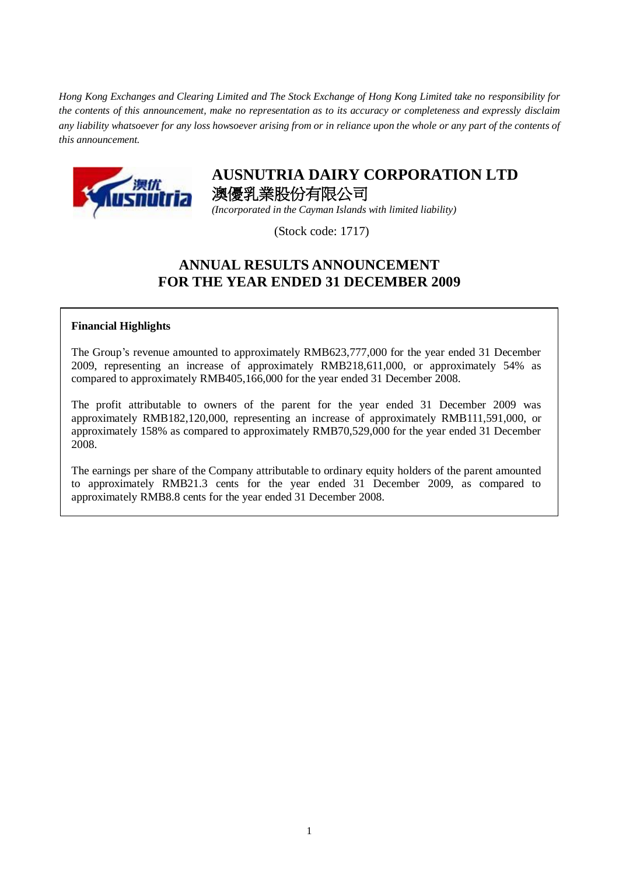*Hong Kong Exchanges and Clearing Limited and The Stock Exchange of Hong Kong Limited take no responsibility for the contents of this announcement, make no representation as to its accuracy or completeness and expressly disclaim any liability whatsoever for any loss howsoever arising from or in reliance upon the whole or any part of the contents of this announcement.*



# **AUSNUTRIA DAIRY CORPORATION LTD** 澳優乳業股份有限公司

*(Incorporated in the Cayman Islands with limited liability)*

(Stock code: 1717)

# **ANNUAL RESULTS ANNOUNCEMENT FOR THE YEAR ENDED 31 DECEMBER 2009**

## **Financial Highlights**

The Group's revenue amounted to approximately RMB623,777,000 for the year ended 31 December 2009, representing an increase of approximately RMB218,611,000, or approximately 54% as compared to approximately RMB405,166,000 for the year ended 31 December 2008.

The profit attributable to owners of the parent for the year ended 31 December 2009 was approximately RMB182,120,000, representing an increase of approximately RMB111,591,000, or approximately 158% as compared to approximately RMB70,529,000 for the year ended 31 December 2008.

The earnings per share of the Company attributable to ordinary equity holders of the parent amounted to approximately RMB21.3 cents for the year ended 31 December 2009, as compared to approximately RMB8.8 cents for the year ended 31 December 2008.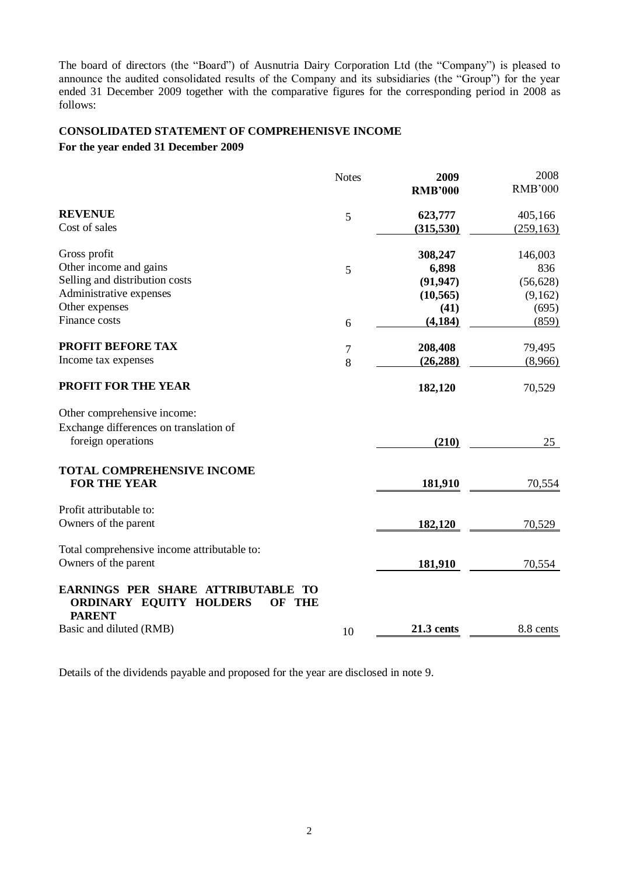The board of directors (the "Board") of Ausnutria Dairy Corporation Ltd (the "Company") is pleased to announce the audited consolidated results of the Company and its subsidiaries (the "Group") for the year ended 31 December 2009 together with the comparative figures for the corresponding period in 2008 as follows:

## **CONSOLIDATED STATEMENT OF COMPREHENISVE INCOME**

**For the year ended 31 December 2009**

|                                                                                                                     | <b>Notes</b> | 2009              | 2008           |
|---------------------------------------------------------------------------------------------------------------------|--------------|-------------------|----------------|
|                                                                                                                     |              | <b>RMB'000</b>    | <b>RMB'000</b> |
| <b>REVENUE</b>                                                                                                      | 5            | 623,777           | 405,166        |
| Cost of sales                                                                                                       |              | (315,530)         | (259, 163)     |
| Gross profit                                                                                                        |              | 308,247           | 146,003        |
| Other income and gains                                                                                              | 5            | 6,898             | 836            |
| Selling and distribution costs                                                                                      |              | (91, 947)         | (56, 628)      |
| Administrative expenses                                                                                             |              | (10, 565)         | (9,162)        |
| Other expenses                                                                                                      |              | (41)              | (695)          |
| Finance costs                                                                                                       | 6            | (4, 184)          | (859)          |
| PROFIT BEFORE TAX                                                                                                   | 7            | 208,408           | 79,495         |
| Income tax expenses                                                                                                 | 8            | (26, 288)         | (8,966)        |
| PROFIT FOR THE YEAR                                                                                                 |              | 182,120           | 70,529         |
| Other comprehensive income:                                                                                         |              |                   |                |
| Exchange differences on translation of                                                                              |              |                   |                |
| foreign operations                                                                                                  |              | (210)             | 25             |
| <b>TOTAL COMPREHENSIVE INCOME</b>                                                                                   |              |                   |                |
| <b>FOR THE YEAR</b>                                                                                                 |              | 181,910           | 70,554         |
| Profit attributable to:                                                                                             |              |                   |                |
| Owners of the parent                                                                                                |              | 182,120           | 70,529         |
| Total comprehensive income attributable to:                                                                         |              |                   |                |
| Owners of the parent                                                                                                |              | 181,910           | 70,554         |
| EARNINGS PER SHARE ATTRIBUTABLE<br><b>TO</b><br><b>ORDINARY EQUITY HOLDERS</b><br><b>THE</b><br>OF<br><b>PARENT</b> |              |                   |                |
| Basic and diluted (RMB)                                                                                             | 10           | <b>21.3 cents</b> | 8.8 cents      |

Details of the dividends payable and proposed for the year are disclosed in note 9.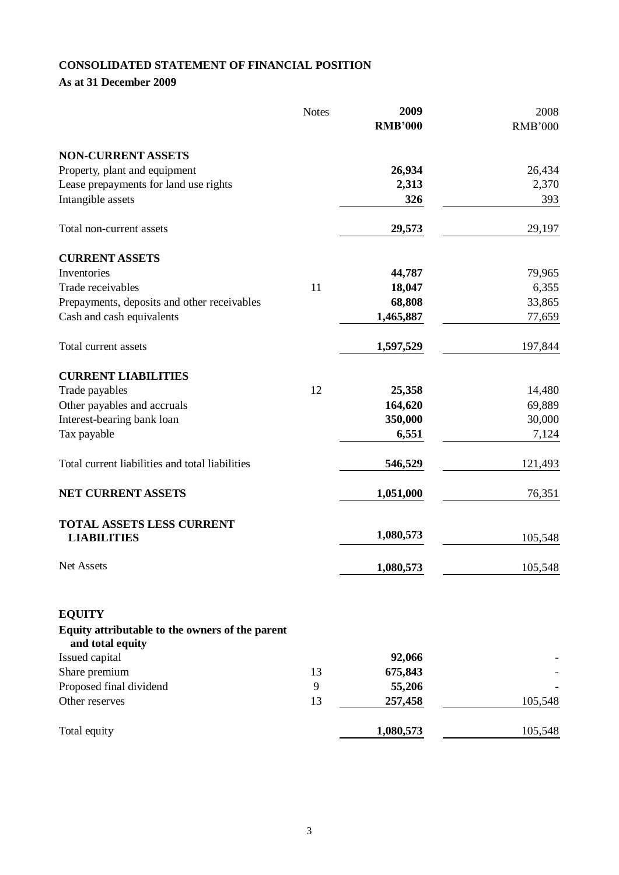# **CONSOLIDATED STATEMENT OF FINANCIAL POSITION**

**As at 31 December 2009**

|                                                                     | <b>Notes</b> | 2009           | 2008           |
|---------------------------------------------------------------------|--------------|----------------|----------------|
|                                                                     |              | <b>RMB'000</b> | <b>RMB'000</b> |
| <b>NON-CURRENT ASSETS</b>                                           |              |                |                |
| Property, plant and equipment                                       |              | 26,934         | 26,434         |
| Lease prepayments for land use rights                               |              | 2,313          | 2,370          |
| Intangible assets                                                   |              | 326            | 393            |
| Total non-current assets                                            |              | 29,573         | 29,197         |
| <b>CURRENT ASSETS</b>                                               |              |                |                |
| Inventories                                                         |              | 44,787         | 79,965         |
| Trade receivables                                                   | 11           | 18,047         | 6,355          |
| Prepayments, deposits and other receivables                         |              | 68,808         | 33,865         |
| Cash and cash equivalents                                           |              | 1,465,887      | 77,659         |
| Total current assets                                                |              | 1,597,529      | 197,844        |
| <b>CURRENT LIABILITIES</b>                                          |              |                |                |
| Trade payables                                                      | 12           | 25,358         | 14,480         |
| Other payables and accruals                                         |              | 164,620        | 69,889         |
| Interest-bearing bank loan                                          |              | 350,000        | 30,000         |
| Tax payable                                                         |              | 6,551          | 7,124          |
| Total current liabilities and total liabilities                     |              | 546,529        | 121,493        |
| NET CURRENT ASSETS                                                  |              | 1,051,000      | 76,351         |
| TOTAL ASSETS LESS CURRENT                                           |              |                |                |
| <b>LIABILITIES</b>                                                  |              | 1,080,573      | 105,548        |
| Net Assets                                                          |              | 1,080,573      | 105,548        |
| <b>EQUITY</b>                                                       |              |                |                |
| Equity attributable to the owners of the parent<br>and total equity |              |                |                |
| Issued capital                                                      |              | 92,066         |                |
| Share premium                                                       | 13           | 675,843        |                |
| Proposed final dividend                                             | 9            | 55,206         |                |
| Other reserves                                                      | 13           | 257,458        | 105,548        |
| Total equity                                                        |              | 1,080,573      | 105,548        |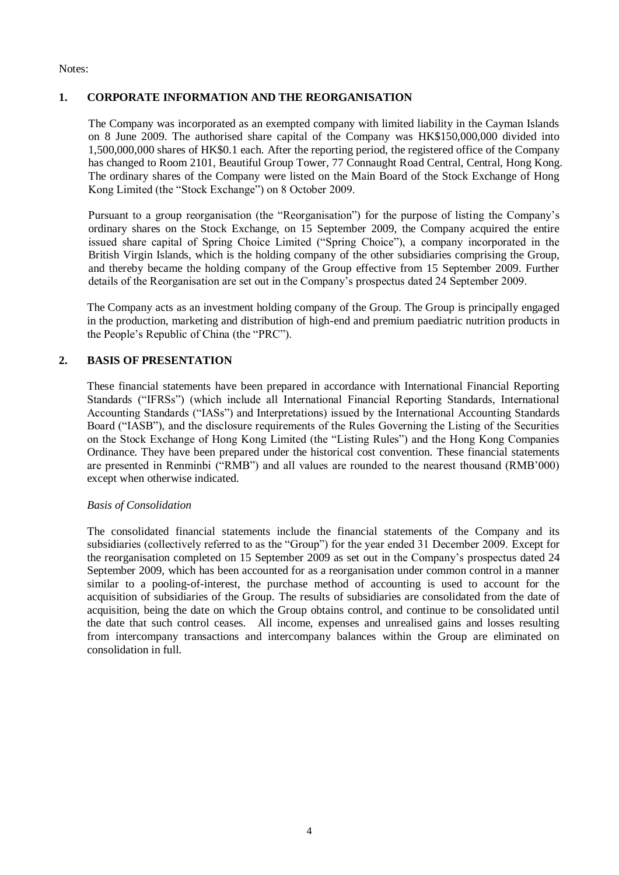Notes:

## **1. CORPORATE INFORMATION AND THE REORGANISATION**

The Company was incorporated as an exempted company with limited liability in the Cayman Islands on 8 June 2009. The authorised share capital of the Company was HK\$150,000,000 divided into 1,500,000,000 shares of HK\$0.1 each. After the reporting period, the registered office of the Company has changed to Room 2101, Beautiful Group Tower, 77 Connaught Road Central, Central, Hong Kong. The ordinary shares of the Company were listed on the Main Board of the Stock Exchange of Hong Kong Limited (the "Stock Exchange") on 8 October 2009.

Pursuant to a group reorganisation (the "Reorganisation") for the purpose of listing the Company's ordinary shares on the Stock Exchange, on 15 September 2009, the Company acquired the entire issued share capital of Spring Choice Limited ("Spring Choice"), a company incorporated in the British Virgin Islands, which is the holding company of the other subsidiaries comprising the Group, and thereby became the holding company of the Group effective from 15 September 2009. Further details of the Reorganisation are set out in the Company's prospectus dated 24 September 2009.

The Company acts as an investment holding company of the Group. The Group is principally engaged in the production, marketing and distribution of high-end and premium paediatric nutrition products in the People's Republic of China (the "PRC").

## **2. BASIS OF PRESENTATION**

These financial statements have been prepared in accordance with International Financial Reporting Standards ("IFRSs") (which include all International Financial Reporting Standards, International Accounting Standards ("IASs") and Interpretations) issued by the International Accounting Standards Board ("IASB"), and the disclosure requirements of the Rules Governing the Listing of the Securities on the Stock Exchange of Hong Kong Limited (the "Listing Rules") and the Hong Kong Companies Ordinance. They have been prepared under the historical cost convention. These financial statements are presented in Renminbi ("RMB") and all values are rounded to the nearest thousand (RMB'000) except when otherwise indicated.

## *Basis of Consolidation*

The consolidated financial statements include the financial statements of the Company and its subsidiaries (collectively referred to as the "Group") for the year ended 31 December 2009. Except for the reorganisation completed on 15 September 2009 as set out in the Company's prospectus dated 24 September 2009, which has been accounted for as a reorganisation under common control in a manner similar to a pooling-of-interest, the purchase method of accounting is used to account for the acquisition of subsidiaries of the Group. The results of subsidiaries are consolidated from the date of acquisition, being the date on which the Group obtains control, and continue to be consolidated until the date that such control ceases. All income, expenses and unrealised gains and losses resulting from intercompany transactions and intercompany balances within the Group are eliminated on consolidation in full.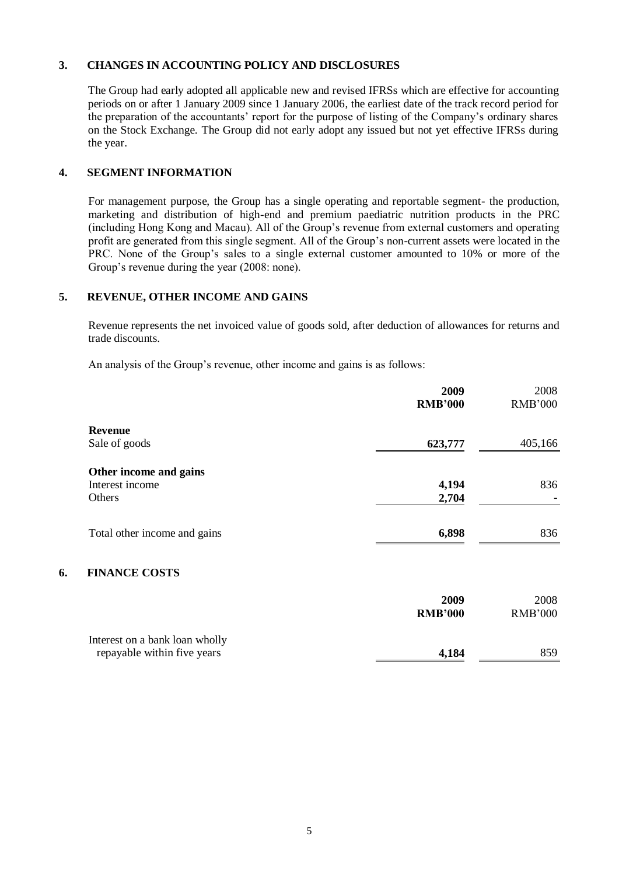### **3. CHANGES IN ACCOUNTING POLICY AND DISCLOSURES**

The Group had early adopted all applicable new and revised IFRSs which are effective for accounting periods on or after 1 January 2009 since 1 January 2006, the earliest date of the track record period for the preparation of the accountants' report for the purpose of listing of the Company's ordinary shares on the Stock Exchange. The Group did not early adopt any issued but not yet effective IFRSs during the year.

### **4. SEGMENT INFORMATION**

For management purpose, the Group has a single operating and reportable segment- the production, marketing and distribution of high-end and premium paediatric nutrition products in the PRC (including Hong Kong and Macau). All of the Group's revenue from external customers and operating profit are generated from this single segment. All of the Group's non-current assets were located in the PRC. None of the Group's sales to a single external customer amounted to 10% or more of the Group's revenue during the year (2008: none).

## **5. REVENUE, OTHER INCOME AND GAINS**

Revenue represents the net invoiced value of goods sold, after deduction of allowances for returns and trade discounts.

An analysis of the Group's revenue, other income and gains is as follows:

| <b>RMB'000</b> | <b>RMB'000</b> |
|----------------|----------------|
| 623,777        | 405,166        |
| 4,194<br>2,704 | 836            |
| 6,898          | 836            |
|                |                |

## **6. FINANCE COSTS**

|                                                               | 2009<br><b>RMB'000</b> | 2008<br><b>RMB'000</b> |
|---------------------------------------------------------------|------------------------|------------------------|
| Interest on a bank loan wholly<br>repayable within five years | 4,184                  | 859                    |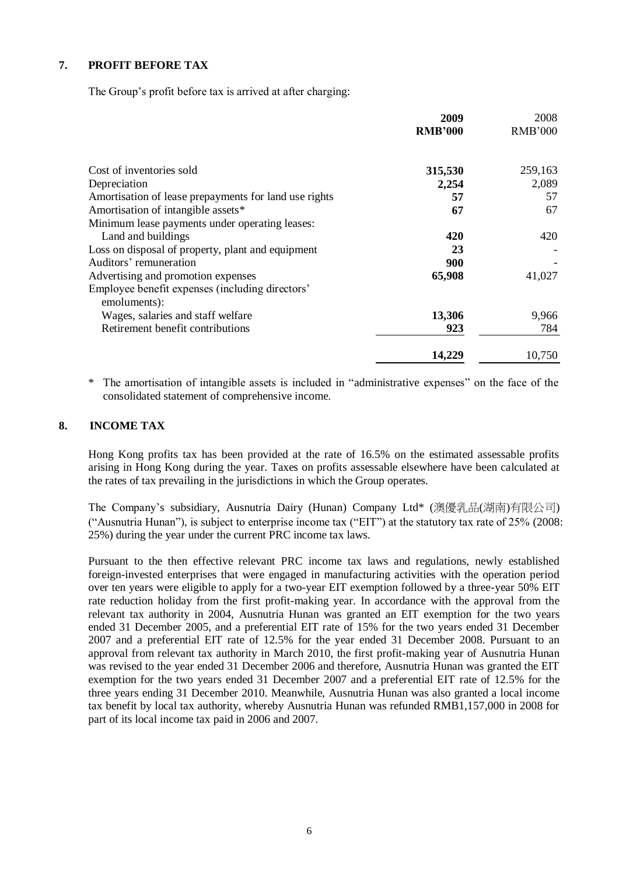## **7. PROFIT BEFORE TAX**

The Group's profit before tax is arrived at after charging:

|                                                       | 2009<br><b>RMB'000</b> | 2008<br><b>RMB'000</b> |
|-------------------------------------------------------|------------------------|------------------------|
|                                                       |                        |                        |
| Cost of inventories sold                              | 315,530                | 259,163                |
| Depreciation                                          | 2,254                  | 2,089                  |
| Amortisation of lease prepayments for land use rights | 57                     | 57                     |
| Amortisation of intangible assets*                    | 67                     | 67                     |
| Minimum lease payments under operating leases:        |                        |                        |
| Land and buildings                                    | 420                    | 420                    |
| Loss on disposal of property, plant and equipment     | 23                     |                        |
| Auditors' remuneration                                | 900                    |                        |
| Advertising and promotion expenses                    | 65,908                 | 41,027                 |
| Employee benefit expenses (including directors'       |                        |                        |
| emoluments):                                          |                        |                        |
| Wages, salaries and staff welfare                     | 13,306                 | 9,966                  |
| Retirement benefit contributions                      | 923                    | 784                    |
|                                                       | 14,229                 | 10,750                 |

The amortisation of intangible assets is included in "administrative expenses" on the face of the consolidated statement of comprehensive income.

#### **8. INCOME TAX**

Hong Kong profits tax has been provided at the rate of 16.5% on the estimated assessable profits arising in Hong Kong during the year. Taxes on profits assessable elsewhere have been calculated at the rates of tax prevailing in the jurisdictions in which the Group operates.

The Company's subsidiary, Ausnutria Dairy (Hunan) Company Ltd\* (澳優乳品(湖南)有限公司) ("Ausnutria Hunan"), is subject to enterprise income tax ("EIT") at the statutory tax rate of 25% (2008: 25%) during the year under the current PRC income tax laws.

Pursuant to the then effective relevant PRC income tax laws and regulations, newly established foreign-invested enterprises that were engaged in manufacturing activities with the operation period over ten years were eligible to apply for a two-year EIT exemption followed by a three-year 50% EIT rate reduction holiday from the first profit-making year. In accordance with the approval from the relevant tax authority in 2004, Ausnutria Hunan was granted an EIT exemption for the two years ended 31 December 2005, and a preferential EIT rate of 15% for the two years ended 31 December 2007 and a preferential EIT rate of 12.5% for the year ended 31 December 2008. Pursuant to an approval from relevant tax authority in March 2010, the first profit-making year of Ausnutria Hunan was revised to the year ended 31 December 2006 and therefore, Ausnutria Hunan was granted the EIT exemption for the two years ended 31 December 2007 and a preferential EIT rate of 12.5% for the three years ending 31 December 2010. Meanwhile, Ausnutria Hunan was also granted a local income tax benefit by local tax authority, whereby Ausnutria Hunan was refunded RMB1,157,000 in 2008 for part of its local income tax paid in 2006 and 2007.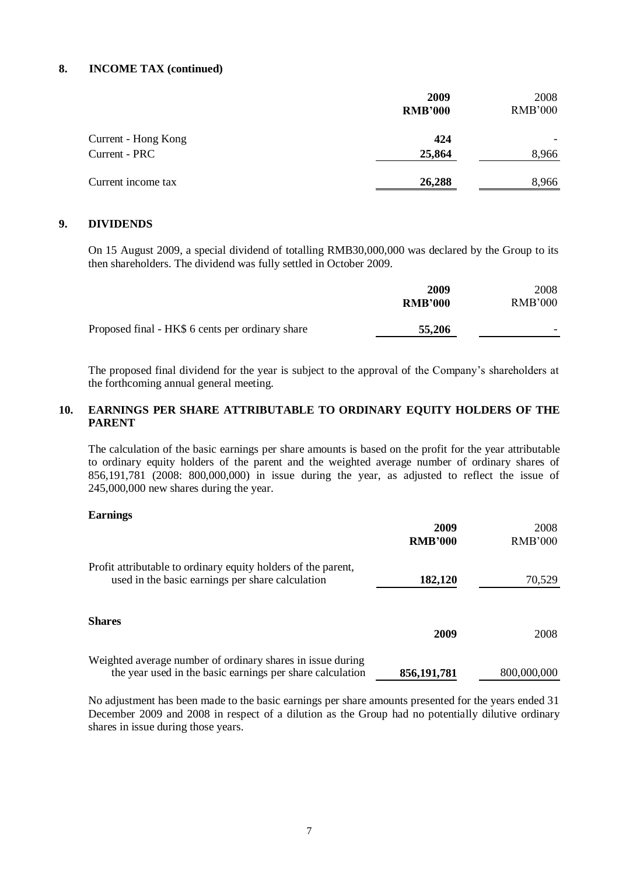#### **8. INCOME TAX (continued)**

|                     | 2009<br><b>RMB'000</b> | 2008<br><b>RMB'000</b> |  |
|---------------------|------------------------|------------------------|--|
| Current - Hong Kong | 424                    |                        |  |
| Current - PRC       | 25,864                 | 8,966                  |  |
| Current income tax  | 26,288                 | 8,966                  |  |

## **9. DIVIDENDS**

On 15 August 2009, a special dividend of totalling RMB30,000,000 was declared by the Group to its then shareholders. The dividend was fully settled in October 2009.

|                                                  | 2009<br><b>RMB'000</b> | 2008<br>RMB'000 |
|--------------------------------------------------|------------------------|-----------------|
| Proposed final - HK\$ 6 cents per ordinary share | 55,206                 |                 |

The proposed final dividend for the year is subject to the approval of the Company's shareholders at the forthcoming annual general meeting.

## **10. EARNINGS PER SHARE ATTRIBUTABLE TO ORDINARY EQUITY HOLDERS OF THE PARENT**

The calculation of the basic earnings per share amounts is based on the profit for the year attributable to ordinary equity holders of the parent and the weighted average number of ordinary shares of 856,191,781 (2008: 800,000,000) in issue during the year, as adjusted to reflect the issue of 245,000,000 new shares during the year.

#### **Earnings**

|                                                                                                                         | 2009<br><b>RMB'000</b> | 2008<br><b>RMB'000</b> |
|-------------------------------------------------------------------------------------------------------------------------|------------------------|------------------------|
| Profit attributable to ordinary equity holders of the parent,<br>used in the basic earnings per share calculation       | 182,120                | 70,529                 |
| <b>Shares</b>                                                                                                           |                        |                        |
|                                                                                                                         | 2009                   | 2008                   |
| Weighted average number of ordinary shares in issue during<br>the year used in the basic earnings per share calculation | 856, 191, 781          | 800,000,000            |

No adjustment has been made to the basic earnings per share amounts presented for the years ended 31 December 2009 and 2008 in respect of a dilution as the Group had no potentially dilutive ordinary shares in issue during those years.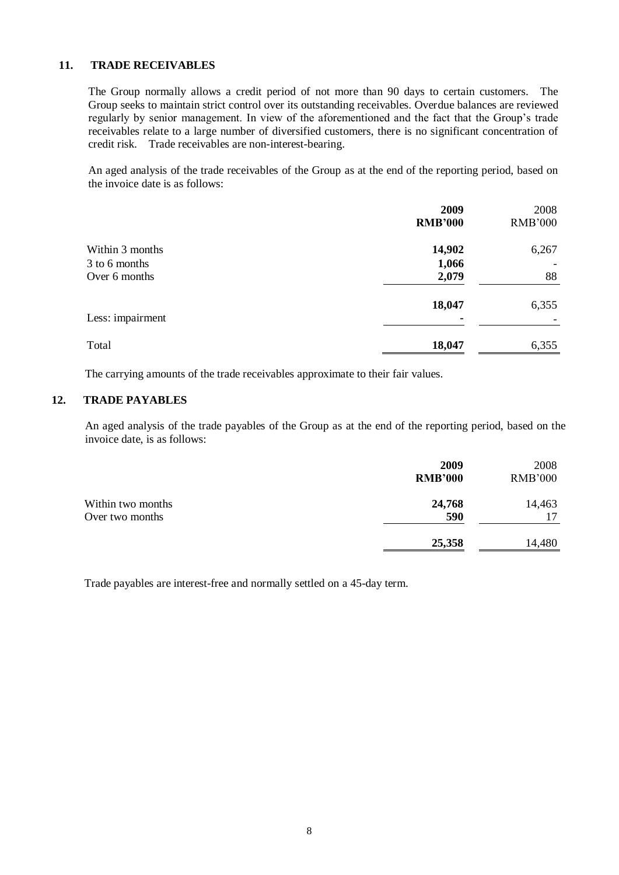## **11. TRADE RECEIVABLES**

The Group normally allows a credit period of not more than 90 days to certain customers. The Group seeks to maintain strict control over its outstanding receivables. Overdue balances are reviewed regularly by senior management. In view of the aforementioned and the fact that the Group's trade receivables relate to a large number of diversified customers, there is no significant concentration of credit risk. Trade receivables are non-interest-bearing.

An aged analysis of the trade receivables of the Group as at the end of the reporting period, based on the invoice date is as follows:

|                  | 2009<br><b>RMB'000</b> | 2008<br><b>RMB'000</b> |
|------------------|------------------------|------------------------|
| Within 3 months  | 14,902                 | 6,267                  |
| 3 to 6 months    | 1,066                  |                        |
| Over 6 months    | 2,079                  | 88                     |
|                  | 18,047                 | 6,355                  |
| Less: impairment |                        |                        |
| Total            | 18,047                 | 6,355                  |

The carrying amounts of the trade receivables approximate to their fair values.

#### **12. TRADE PAYABLES**

An aged analysis of the trade payables of the Group as at the end of the reporting period, based on the invoice date, is as follows:

|                                      | 2009<br><b>RMB'000</b> | 2008<br><b>RMB'000</b> |
|--------------------------------------|------------------------|------------------------|
| Within two months<br>Over two months | 24,768<br>590          | 14,463<br>17           |
|                                      | 25,358                 | 14,480                 |

Trade payables are interest-free and normally settled on a 45-day term.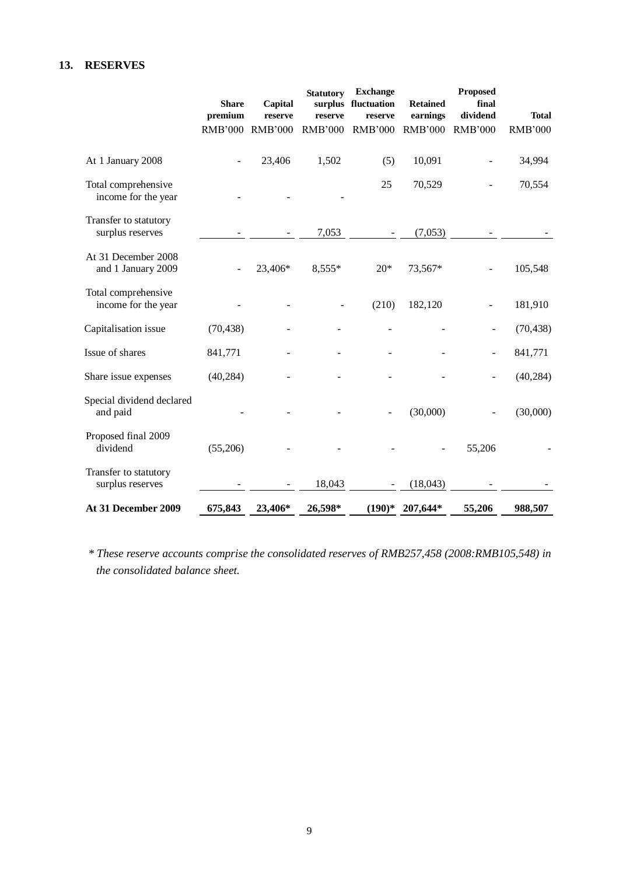## **13. RESERVES**

|                                            | <b>Share</b><br>premium | Capital<br>reserve | <b>Statutory</b><br>surplus<br>reserve | <b>Exchange</b><br>fluctuation<br>reserve | <b>Retained</b><br>earnings | <b>Proposed</b><br>final<br>dividend | <b>Total</b>   |
|--------------------------------------------|-------------------------|--------------------|----------------------------------------|-------------------------------------------|-----------------------------|--------------------------------------|----------------|
|                                            | <b>RMB'000</b>          | <b>RMB'000</b>     | <b>RMB'000</b>                         | <b>RMB'000</b>                            | <b>RMB'000</b>              | <b>RMB'000</b>                       | <b>RMB'000</b> |
| At 1 January 2008                          |                         | 23,406             | 1,502                                  | (5)                                       | 10,091                      |                                      | 34,994         |
| Total comprehensive<br>income for the year |                         |                    |                                        | 25                                        | 70,529                      |                                      | 70,554         |
| Transfer to statutory<br>surplus reserves  |                         |                    | 7,053                                  |                                           | (7,053)                     |                                      |                |
| At 31 December 2008<br>and 1 January 2009  |                         | 23,406*            | 8,555*                                 | $20*$                                     | 73,567*                     |                                      | 105,548        |
| Total comprehensive<br>income for the year |                         |                    |                                        | (210)                                     | 182,120                     |                                      | 181,910        |
| Capitalisation issue                       | (70, 438)               |                    |                                        |                                           |                             |                                      | (70, 438)      |
| Issue of shares                            | 841,771                 |                    |                                        |                                           |                             |                                      | 841,771        |
| Share issue expenses                       | (40, 284)               |                    |                                        |                                           |                             |                                      | (40, 284)      |
| Special dividend declared<br>and paid      |                         |                    |                                        |                                           | (30,000)                    |                                      | (30,000)       |
| Proposed final 2009<br>dividend            | (55,206)                |                    |                                        |                                           |                             | 55,206                               |                |
| Transfer to statutory<br>surplus reserves  |                         |                    | 18,043                                 |                                           | (18,043)                    |                                      |                |
| At 31 December 2009                        | 675,843                 | 23,406*            | 26,598*                                | $(190)*$                                  | 207,644*                    | 55,206                               | 988,507        |

*\* These reserve accounts comprise the consolidated reserves of RMB257,458 (2008:RMB105,548) in the consolidated balance sheet.*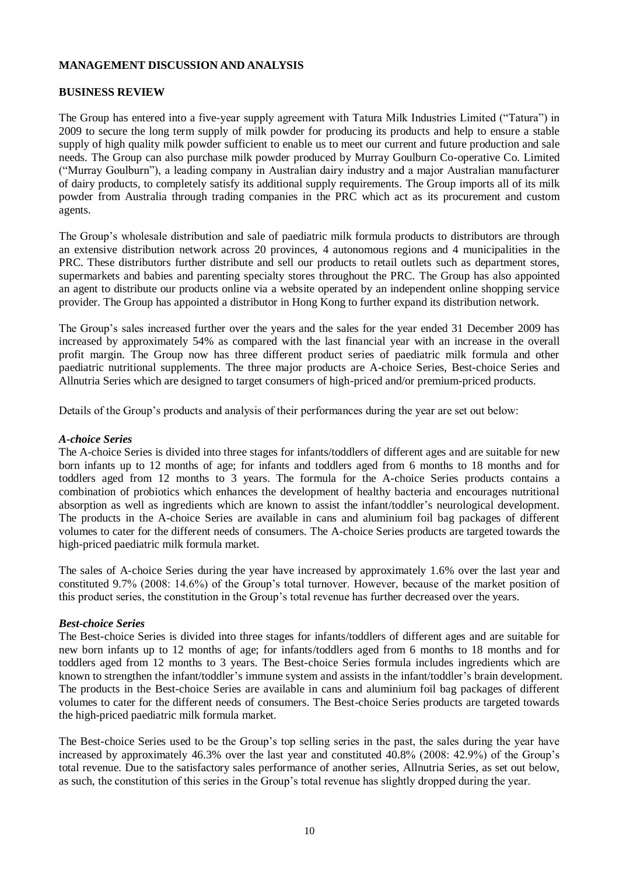#### **BUSINESS REVIEW**

The Group has entered into a five-year supply agreement with Tatura Milk Industries Limited ("Tatura") in 2009 to secure the long term supply of milk powder for producing its products and help to ensure a stable supply of high quality milk powder sufficient to enable us to meet our current and future production and sale needs. The Group can also purchase milk powder produced by Murray Goulburn Co-operative Co. Limited ("Murray Goulburn"), a leading company in Australian dairy industry and a major Australian manufacturer of dairy products, to completely satisfy its additional supply requirements. The Group imports all of its milk powder from Australia through trading companies in the PRC which act as its procurement and custom agents.

The Group's wholesale distribution and sale of paediatric milk formula products to distributors are through an extensive distribution network across 20 provinces, 4 autonomous regions and 4 municipalities in the PRC. These distributors further distribute and sell our products to retail outlets such as department stores, supermarkets and babies and parenting specialty stores throughout the PRC. The Group has also appointed an agent to distribute our products online via a website operated by an independent online shopping service provider. The Group has appointed a distributor in Hong Kong to further expand its distribution network.

The Group's sales increased further over the years and the sales for the year ended 31 December 2009 has increased by approximately 54% as compared with the last financial year with an increase in the overall profit margin. The Group now has three different product series of paediatric milk formula and other paediatric nutritional supplements. The three major products are A-choice Series, Best-choice Series and Allnutria Series which are designed to target consumers of high-priced and/or premium-priced products.

Details of the Group's products and analysis of their performances during the year are set out below:

#### *A-choice Series*

The A-choice Series is divided into three stages for infants/toddlers of different ages and are suitable for new born infants up to 12 months of age; for infants and toddlers aged from 6 months to 18 months and for toddlers aged from 12 months to 3 years. The formula for the A-choice Series products contains a combination of probiotics which enhances the development of healthy bacteria and encourages nutritional absorption as well as ingredients which are known to assist the infant/toddler's neurological development. The products in the A-choice Series are available in cans and aluminium foil bag packages of different volumes to cater for the different needs of consumers. The A-choice Series products are targeted towards the high-priced paediatric milk formula market.

The sales of A-choice Series during the year have increased by approximately 1.6% over the last year and constituted 9.7% (2008: 14.6%) of the Group's total turnover. However, because of the market position of this product series, the constitution in the Group's total revenue has further decreased over the years.

#### *Best-choice Series*

The Best-choice Series is divided into three stages for infants/toddlers of different ages and are suitable for new born infants up to 12 months of age; for infants/toddlers aged from 6 months to 18 months and for toddlers aged from 12 months to 3 years. The Best-choice Series formula includes ingredients which are known to strengthen the infant/toddler's immune system and assists in the infant/toddler's brain development. The products in the Best-choice Series are available in cans and aluminium foil bag packages of different volumes to cater for the different needs of consumers. The Best-choice Series products are targeted towards the high-priced paediatric milk formula market.

The Best-choice Series used to be the Group's top selling series in the past, the sales during the year have increased by approximately 46.3% over the last year and constituted 40.8% (2008: 42.9%) of the Group's total revenue. Due to the satisfactory sales performance of another series, Allnutria Series, as set out below, as such, the constitution of this series in the Group's total revenue has slightly dropped during the year.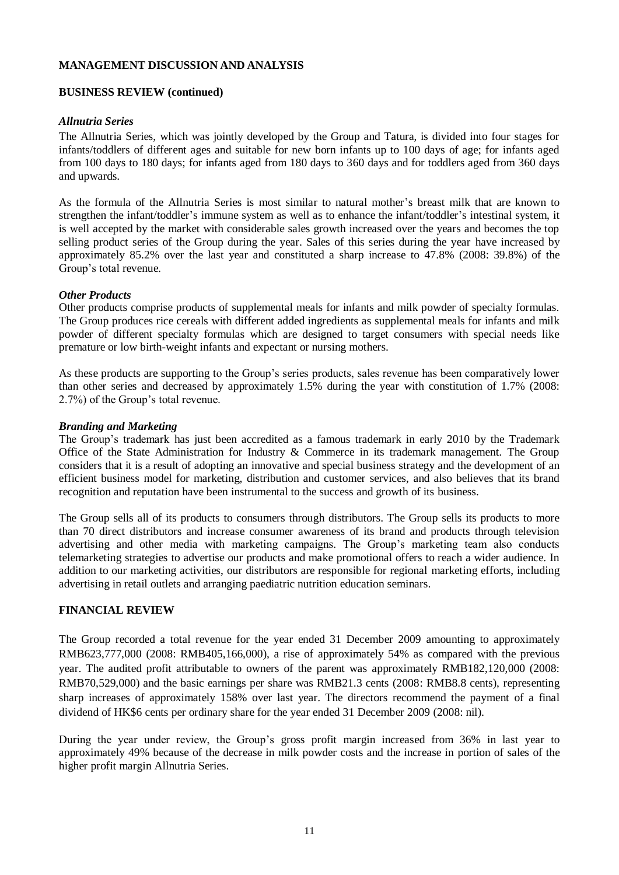#### **BUSINESS REVIEW (continued)**

### *Allnutria Series*

The Allnutria Series, which was jointly developed by the Group and Tatura, is divided into four stages for infants/toddlers of different ages and suitable for new born infants up to 100 days of age; for infants aged from 100 days to 180 days; for infants aged from 180 days to 360 days and for toddlers aged from 360 days and upwards.

As the formula of the Allnutria Series is most similar to natural mother's breast milk that are known to strengthen the infant/toddler's immune system as well as to enhance the infant/toddler's intestinal system, it is well accepted by the market with considerable sales growth increased over the years and becomes the top selling product series of the Group during the year. Sales of this series during the year have increased by approximately 85.2% over the last year and constituted a sharp increase to 47.8% (2008: 39.8%) of the Group's total revenue.

### *Other Products*

Other products comprise products of supplemental meals for infants and milk powder of specialty formulas. The Group produces rice cereals with different added ingredients as supplemental meals for infants and milk powder of different specialty formulas which are designed to target consumers with special needs like premature or low birth-weight infants and expectant or nursing mothers.

As these products are supporting to the Group's series products, sales revenue has been comparatively lower than other series and decreased by approximately 1.5% during the year with constitution of 1.7% (2008: 2.7%) of the Group's total revenue.

### *Branding and Marketing*

The Group's trademark has just been accredited as a famous trademark in early 2010 by the Trademark Office of the State Administration for Industry & Commerce in its trademark management. The Group considers that it is a result of adopting an innovative and special business strategy and the development of an efficient business model for marketing, distribution and customer services, and also believes that its brand recognition and reputation have been instrumental to the success and growth of its business.

The Group sells all of its products to consumers through distributors. The Group sells its products to more than 70 direct distributors and increase consumer awareness of its brand and products through television advertising and other media with marketing campaigns. The Group's marketing team also conducts telemarketing strategies to advertise our products and make promotional offers to reach a wider audience. In addition to our marketing activities, our distributors are responsible for regional marketing efforts, including advertising in retail outlets and arranging paediatric nutrition education seminars.

## **FINANCIAL REVIEW**

The Group recorded a total revenue for the year ended 31 December 2009 amounting to approximately RMB623,777,000 (2008: RMB405,166,000), a rise of approximately 54% as compared with the previous year. The audited profit attributable to owners of the parent was approximately RMB182,120,000 (2008: RMB70,529,000) and the basic earnings per share was RMB21.3 cents (2008: RMB8.8 cents), representing sharp increases of approximately 158% over last year. The directors recommend the payment of a final dividend of HK\$6 cents per ordinary share for the year ended 31 December 2009 (2008: nil).

During the year under review, the Group's gross profit margin increased from 36% in last year to approximately 49% because of the decrease in milk powder costs and the increase in portion of sales of the higher profit margin Allnutria Series.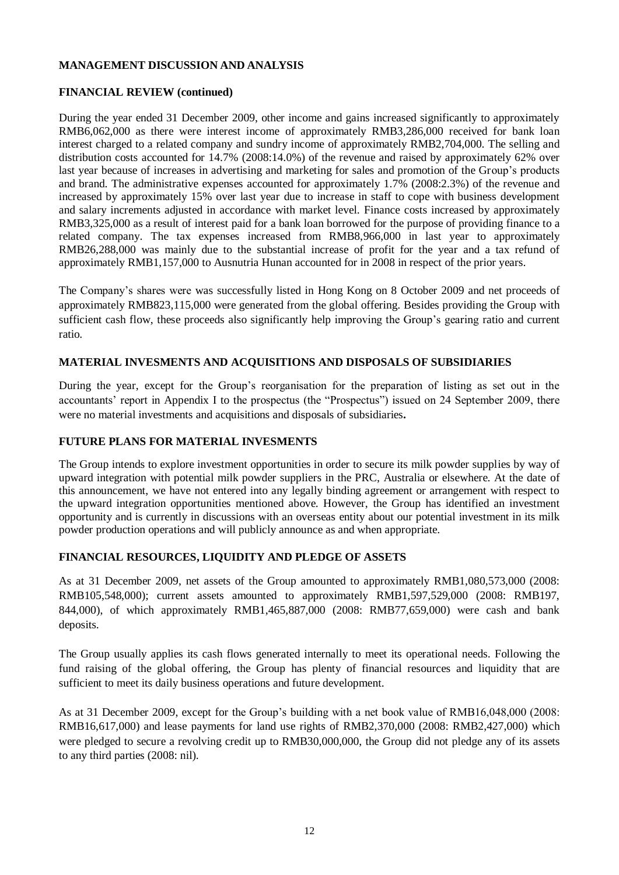## **FINANCIAL REVIEW (continued)**

During the year ended 31 December 2009, other income and gains increased significantly to approximately RMB6,062,000 as there were interest income of approximately RMB3,286,000 received for bank loan interest charged to a related company and sundry income of approximately RMB2,704,000. The selling and distribution costs accounted for 14.7% (2008:14.0%) of the revenue and raised by approximately 62% over last year because of increases in advertising and marketing for sales and promotion of the Group's products and brand. The administrative expenses accounted for approximately 1.7% (2008:2.3%) of the revenue and increased by approximately 15% over last year due to increase in staff to cope with business development and salary increments adjusted in accordance with market level. Finance costs increased by approximately RMB3,325,000 as a result of interest paid for a bank loan borrowed for the purpose of providing finance to a related company. The tax expenses increased from RMB8,966,000 in last year to approximately RMB26,288,000 was mainly due to the substantial increase of profit for the year and a tax refund of approximately RMB1,157,000 to Ausnutria Hunan accounted for in 2008 in respect of the prior years.

The Company's shares were was successfully listed in Hong Kong on 8 October 2009 and net proceeds of approximately RMB823,115,000 were generated from the global offering. Besides providing the Group with sufficient cash flow, these proceeds also significantly help improving the Group's gearing ratio and current ratio.

### **MATERIAL INVESMENTS AND ACQUISITIONS AND DISPOSALS OF SUBSIDIARIES**

During the year, except for the Group's reorganisation for the preparation of listing as set out in the accountants' report in Appendix I to the prospectus (the "Prospectus") issued on 24 September 2009, there were no material investments and acquisitions and disposals of subsidiaries**.**

#### **FUTURE PLANS FOR MATERIAL INVESMENTS**

The Group intends to explore investment opportunities in order to secure its milk powder supplies by way of upward integration with potential milk powder suppliers in the PRC, Australia or elsewhere. At the date of this announcement, we have not entered into any legally binding agreement or arrangement with respect to the upward integration opportunities mentioned above. However, the Group has identified an investment opportunity and is currently in discussions with an overseas entity about our potential investment in its milk powder production operations and will publicly announce as and when appropriate.

#### **FINANCIAL RESOURCES, LIQUIDITY AND PLEDGE OF ASSETS**

As at 31 December 2009, net assets of the Group amounted to approximately RMB1,080,573,000 (2008: RMB105,548,000); current assets amounted to approximately RMB1,597,529,000 (2008: RMB197, 844,000), of which approximately RMB1,465,887,000 (2008: RMB77,659,000) were cash and bank deposits.

The Group usually applies its cash flows generated internally to meet its operational needs. Following the fund raising of the global offering, the Group has plenty of financial resources and liquidity that are sufficient to meet its daily business operations and future development.

As at 31 December 2009, except for the Group's building with a net book value of RMB16,048,000 (2008: RMB16,617,000) and lease payments for land use rights of RMB2,370,000 (2008: RMB2,427,000) which were pledged to secure a revolving credit up to RMB30,000,000, the Group did not pledge any of its assets to any third parties (2008: nil).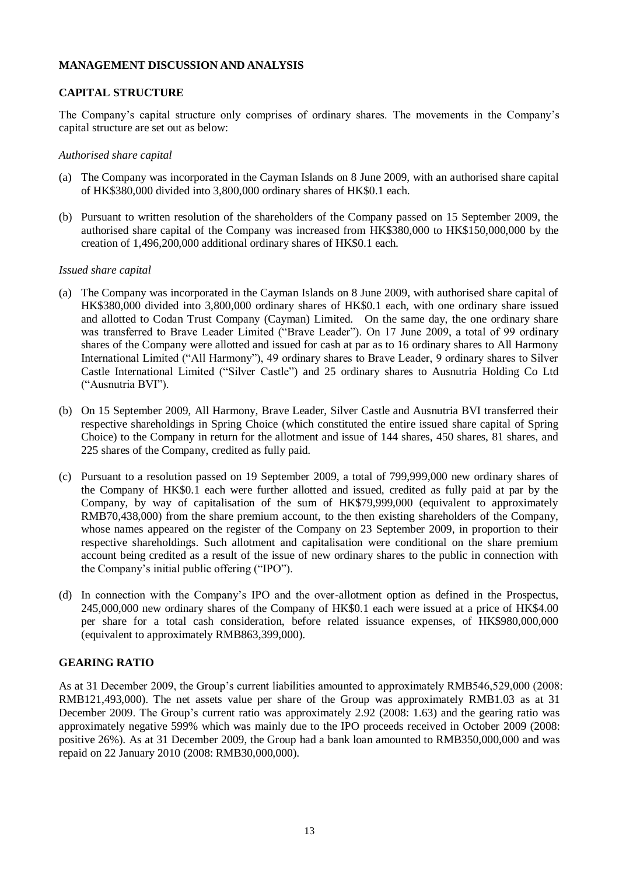## **CAPITAL STRUCTURE**

The Company's capital structure only comprises of ordinary shares. The movements in the Company's capital structure are set out as below:

#### *Authorised share capital*

- (a) The Company was incorporated in the Cayman Islands on 8 June 2009, with an authorised share capital of HK\$380,000 divided into 3,800,000 ordinary shares of HK\$0.1 each.
- (b) Pursuant to written resolution of the shareholders of the Company passed on 15 September 2009, the authorised share capital of the Company was increased from HK\$380,000 to HK\$150,000,000 by the creation of 1,496,200,000 additional ordinary shares of HK\$0.1 each.

#### *Issued share capital*

- (a) The Company was incorporated in the Cayman Islands on 8 June 2009, with authorised share capital of HK\$380,000 divided into 3,800,000 ordinary shares of HK\$0.1 each, with one ordinary share issued and allotted to Codan Trust Company (Cayman) Limited. On the same day, the one ordinary share was transferred to Brave Leader Limited ("Brave Leader"). On 17 June 2009, a total of 99 ordinary shares of the Company were allotted and issued for cash at par as to 16 ordinary shares to All Harmony International Limited ("All Harmony"), 49 ordinary shares to Brave Leader, 9 ordinary shares to Silver Castle International Limited ("Silver Castle") and 25 ordinary shares to Ausnutria Holding Co Ltd ("Ausnutria BVI").
- (b) On 15 September 2009, All Harmony, Brave Leader, Silver Castle and Ausnutria BVI transferred their respective shareholdings in Spring Choice (which constituted the entire issued share capital of Spring Choice) to the Company in return for the allotment and issue of 144 shares, 450 shares, 81 shares, and 225 shares of the Company, credited as fully paid.
- (c) Pursuant to a resolution passed on 19 September 2009, a total of 799,999,000 new ordinary shares of the Company of HK\$0.1 each were further allotted and issued, credited as fully paid at par by the Company, by way of capitalisation of the sum of HK\$79,999,000 (equivalent to approximately RMB70,438,000) from the share premium account, to the then existing shareholders of the Company, whose names appeared on the register of the Company on 23 September 2009, in proportion to their respective shareholdings. Such allotment and capitalisation were conditional on the share premium account being credited as a result of the issue of new ordinary shares to the public in connection with the Company's initial public offering ("IPO").
- (d) In connection with the Company's IPO and the over-allotment option as defined in the Prospectus, 245,000,000 new ordinary shares of the Company of HK\$0.1 each were issued at a price of HK\$4.00 per share for a total cash consideration, before related issuance expenses, of HK\$980,000,000 (equivalent to approximately RMB863,399,000).

#### **GEARING RATIO**

As at 31 December 2009, the Group's current liabilities amounted to approximately RMB546,529,000 (2008: RMB121,493,000). The net assets value per share of the Group was approximately RMB1.03 as at 31 December 2009. The Group's current ratio was approximately 2.92 (2008: 1.63) and the gearing ratio was approximately negative 599% which was mainly due to the IPO proceeds received in October 2009 (2008: positive 26%). As at 31 December 2009, the Group had a bank loan amounted to RMB350,000,000 and was repaid on 22 January 2010 (2008: RMB30,000,000).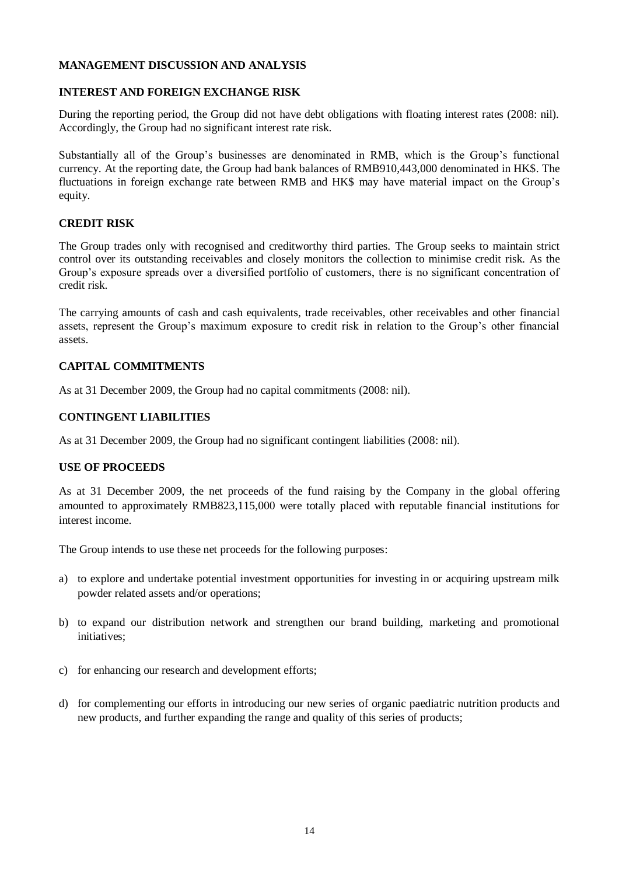#### **INTEREST AND FOREIGN EXCHANGE RISK**

During the reporting period, the Group did not have debt obligations with floating interest rates (2008: nil). Accordingly, the Group had no significant interest rate risk.

Substantially all of the Group's businesses are denominated in RMB, which is the Group's functional currency. At the reporting date, the Group had bank balances of RMB910,443,000 denominated in HK\$. The fluctuations in foreign exchange rate between RMB and HK\$ may have material impact on the Group's equity.

### **CREDIT RISK**

The Group trades only with recognised and creditworthy third parties. The Group seeks to maintain strict control over its outstanding receivables and closely monitors the collection to minimise credit risk. As the Group's exposure spreads over a diversified portfolio of customers, there is no significant concentration of credit risk.

The carrying amounts of cash and cash equivalents, trade receivables, other receivables and other financial assets, represent the Group's maximum exposure to credit risk in relation to the Group's other financial assets.

## **CAPITAL COMMITMENTS**

As at 31 December 2009, the Group had no capital commitments (2008: nil).

### **CONTINGENT LIABILITIES**

As at 31 December 2009, the Group had no significant contingent liabilities (2008: nil).

#### **USE OF PROCEEDS**

As at 31 December 2009, the net proceeds of the fund raising by the Company in the global offering amounted to approximately RMB823,115,000 were totally placed with reputable financial institutions for interest income.

The Group intends to use these net proceeds for the following purposes:

- a) to explore and undertake potential investment opportunities for investing in or acquiring upstream milk powder related assets and/or operations;
- b) to expand our distribution network and strengthen our brand building, marketing and promotional initiatives;
- c) for enhancing our research and development efforts;
- d) for complementing our efforts in introducing our new series of organic paediatric nutrition products and new products, and further expanding the range and quality of this series of products;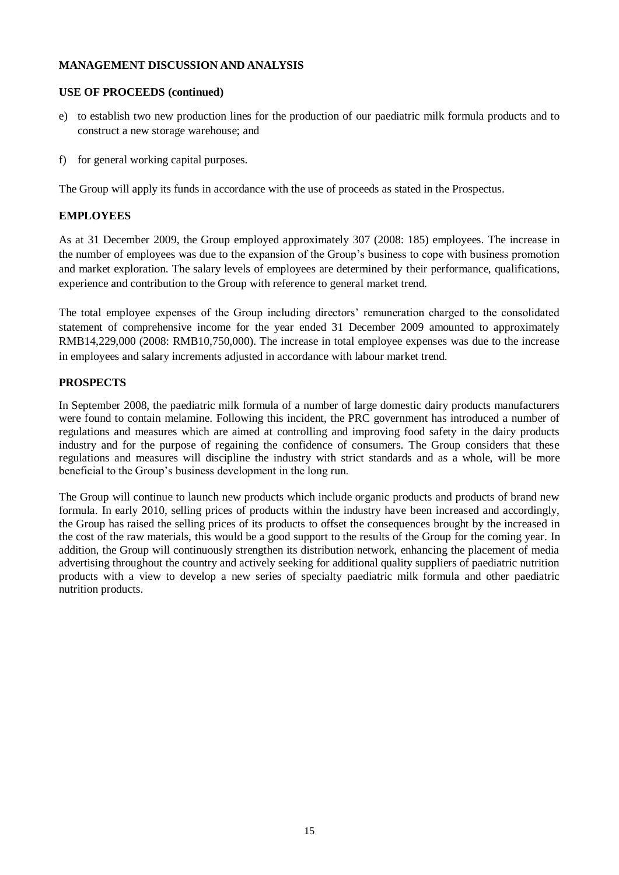### **USE OF PROCEEDS (continued)**

- e) to establish two new production lines for the production of our paediatric milk formula products and to construct a new storage warehouse; and
- f) for general working capital purposes.

The Group will apply its funds in accordance with the use of proceeds as stated in the Prospectus.

### **EMPLOYEES**

As at 31 December 2009, the Group employed approximately 307 (2008: 185) employees. The increase in the number of employees was due to the expansion of the Group's business to cope with business promotion and market exploration. The salary levels of employees are determined by their performance, qualifications, experience and contribution to the Group with reference to general market trend.

The total employee expenses of the Group including directors' remuneration charged to the consolidated statement of comprehensive income for the year ended 31 December 2009 amounted to approximately RMB14,229,000 (2008: RMB10,750,000). The increase in total employee expenses was due to the increase in employees and salary increments adjusted in accordance with labour market trend.

### **PROSPECTS**

In September 2008, the paediatric milk formula of a number of large domestic dairy products manufacturers were found to contain melamine. Following this incident, the PRC government has introduced a number of regulations and measures which are aimed at controlling and improving food safety in the dairy products industry and for the purpose of regaining the confidence of consumers. The Group considers that these regulations and measures will discipline the industry with strict standards and as a whole, will be more beneficial to the Group's business development in the long run.

The Group will continue to launch new products which include organic products and products of brand new formula. In early 2010, selling prices of products within the industry have been increased and accordingly, the Group has raised the selling prices of its products to offset the consequences brought by the increased in the cost of the raw materials, this would be a good support to the results of the Group for the coming year. In addition, the Group will continuously strengthen its distribution network, enhancing the placement of media advertising throughout the country and actively seeking for additional quality suppliers of paediatric nutrition products with a view to develop a new series of specialty paediatric milk formula and other paediatric nutrition products.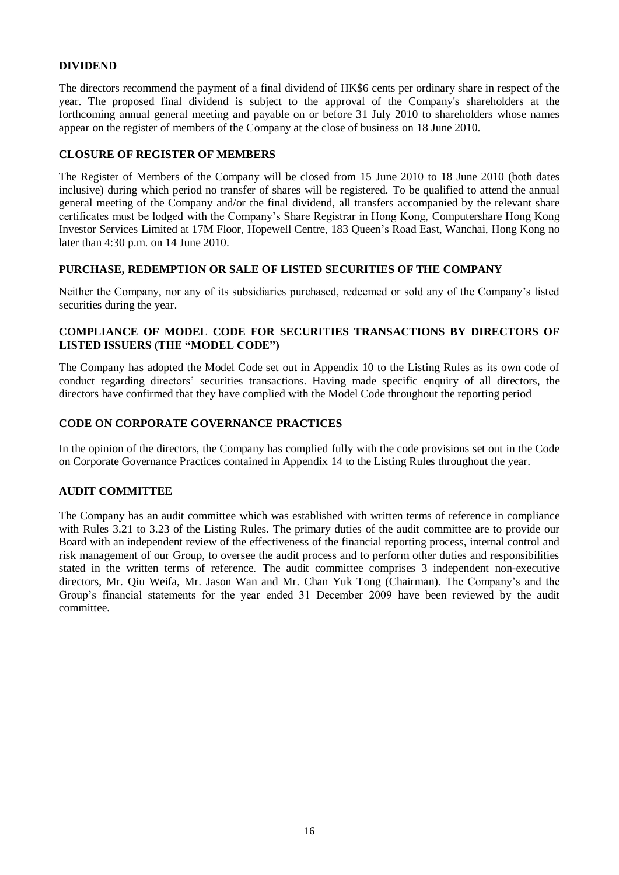#### **DIVIDEND**

The directors recommend the payment of a final dividend of HK\$6 cents per ordinary share in respect of the year. The proposed final dividend is subject to the approval of the Company's shareholders at the forthcoming annual general meeting and payable on or before 31 July 2010 to shareholders whose names appear on the register of members of the Company at the close of business on 18 June 2010.

### **CLOSURE OF REGISTER OF MEMBERS**

The Register of Members of the Company will be closed from 15 June 2010 to 18 June 2010 (both dates inclusive) during which period no transfer of shares will be registered. To be qualified to attend the annual general meeting of the Company and/or the final dividend, all transfers accompanied by the relevant share certificates must be lodged with the Company's Share Registrar in Hong Kong, Computershare Hong Kong Investor Services Limited at 17M Floor, Hopewell Centre, 183 Queen's Road East, Wanchai, Hong Kong no later than 4:30 p.m. on 14 June 2010.

### **PURCHASE, REDEMPTION OR SALE OF LISTED SECURITIES OF THE COMPANY**

Neither the Company, nor any of its subsidiaries purchased, redeemed or sold any of the Company's listed securities during the year.

### **COMPLIANCE OF MODEL CODE FOR SECURITIES TRANSACTIONS BY DIRECTORS OF LISTED ISSUERS (THE "MODEL CODE")**

The Company has adopted the Model Code set out in Appendix 10 to the Listing Rules as its own code of conduct regarding directors' securities transactions. Having made specific enquiry of all directors, the directors have confirmed that they have complied with the Model Code throughout the reporting period

### **CODE ON CORPORATE GOVERNANCE PRACTICES**

In the opinion of the directors, the Company has complied fully with the code provisions set out in the Code on Corporate Governance Practices contained in Appendix 14 to the Listing Rules throughout the year.

## **AUDIT COMMITTEE**

The Company has an audit committee which was established with written terms of reference in compliance with Rules 3.21 to 3.23 of the Listing Rules. The primary duties of the audit committee are to provide our Board with an independent review of the effectiveness of the financial reporting process, internal control and risk management of our Group, to oversee the audit process and to perform other duties and responsibilities stated in the written terms of reference. The audit committee comprises 3 independent non-executive directors, Mr. Qiu Weifa, Mr. Jason Wan and Mr. Chan Yuk Tong (Chairman). The Company's and the Group's financial statements for the year ended 31 December 2009 have been reviewed by the audit committee.